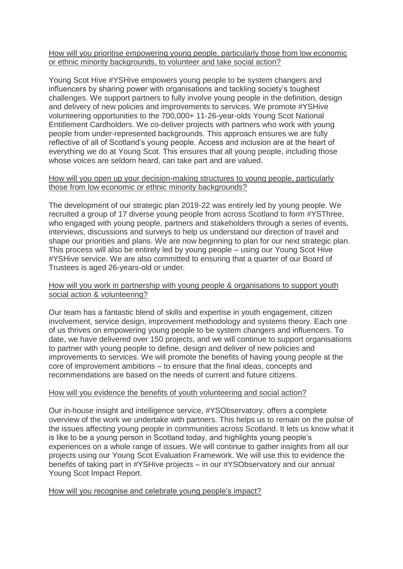## How will you prioritise empowering young people, particularly those from low economic or ethnic minority backgrounds, to volunteer and take social action?

Young Scot Hive #YSHive empowers young people to be system changers and influencers by sharing power with organisations and tackling society's toughest challenges. We support partners to fully involve young people in the definition, design and delivery of new policies and improvements to services. We promote #YSHive volunteering opportunities to the 700,000+ 11-26-year-olds Young Scot National Entitlement Cardholders. We co-deliver projects with partners who work with young people from under-represented backgrounds. This approach ensures we are fully reflective of all of Scotland's young people. Access and inclusion are at the heart of everything we do at Young Scot. This ensures that all young people, including those whose voices are seldom heard, can take part and are valued.

## How will you open up your decision-making structures to young people, particularly those from low economic or ethnic minority backgrounds?

The development of our strategic plan 2019-22 was entirely led by young people. We recruited a group of 17 diverse young people from across Scotland to form #YSThree, who engaged with young people, partners and stakeholders through a series of events, interviews, discussions and surveys to help us understand our direction of travel and shape our priorities and plans. We are now beginning to plan for our next strategic plan. This process will also be entirely led by young people – using our Young Scot Hive #YSHive service. We are also committed to ensuring that a quarter of our Board of Trustees is aged 26-years-old or under.

## How will you work in partnership with young people & organisations to support youth social action & volunteering?

Our team has a fantastic blend of skills and expertise in youth engagement, citizen involvement, service design, improvement methodology and systems theory. Each one of us thrives on empowering young people to be system changers and influencers. To date, we have delivered over 150 projects, and we will continue to support organisations to partner with young people to define, design and deliver of new policies and improvements to services. We will promote the benefits of having young people at the core of improvement ambitions – to ensure that the final ideas, concepts and recommendations are based on the needs of current and future citizens.

# How will you evidence the benefits of youth volunteering and social action?

Our in-house insight and intelligence service, #YSObservatory, offers a complete overview of the work we undertake with partners. This helps us to remain on the pulse of the issues affecting young people in communities across Scotland. It lets us know what it is like to be a young person in Scotland today, and highlights young people's experiences on a whole range of issues. We will continue to gather insights from all our projects using our Young Scot Evaluation Framework. We will use this to evidence the benefits of taking part in #YSHive projects – in our #YSObservatory and our annual Young Scot Impact Report.

#### How will you recognise and celebrate young people's impact?